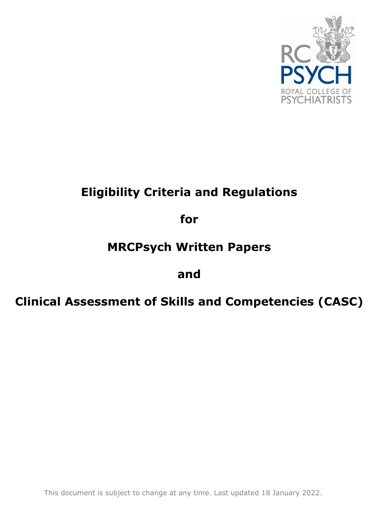

# **Eligibility Criteria and Regulations**

**for**

# **MRCPsych Written Papers**

# **and**

# **Clinical Assessment of Skills and Competencies (CASC)**

This document is subject to change at any time. Last updated 18 January 2022.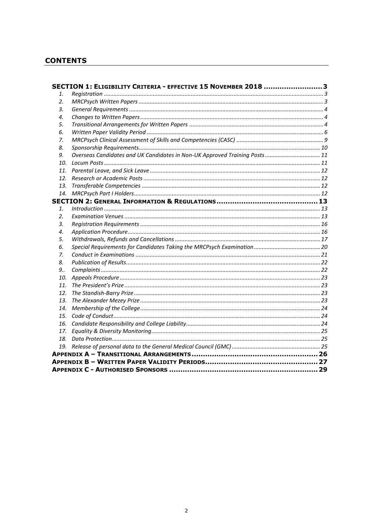# **CONTENTS**

|                | SECTION 1: ELIGIBILITY CRITERIA - EFFECTIVE 15 NOVEMBER 2018 3             |  |  |  |  |
|----------------|----------------------------------------------------------------------------|--|--|--|--|
| 1.             |                                                                            |  |  |  |  |
| 2.             |                                                                            |  |  |  |  |
| 3.             |                                                                            |  |  |  |  |
| 4.             |                                                                            |  |  |  |  |
| 5.             |                                                                            |  |  |  |  |
| 6.             |                                                                            |  |  |  |  |
| 7.             |                                                                            |  |  |  |  |
| 8.             |                                                                            |  |  |  |  |
| 9.             | Overseas Candidates and UK Candidates in Non-UK Approved Training Posts 11 |  |  |  |  |
| 10.            |                                                                            |  |  |  |  |
| 11.            |                                                                            |  |  |  |  |
| 12.            |                                                                            |  |  |  |  |
| 13.            |                                                                            |  |  |  |  |
| 14.            |                                                                            |  |  |  |  |
|                |                                                                            |  |  |  |  |
| $\mathbf{1}$ . |                                                                            |  |  |  |  |
| 2.             |                                                                            |  |  |  |  |
| 3.             |                                                                            |  |  |  |  |
| 4.             |                                                                            |  |  |  |  |
| 5.             |                                                                            |  |  |  |  |
| 6.             |                                                                            |  |  |  |  |
| 7.             |                                                                            |  |  |  |  |
| 8.             |                                                                            |  |  |  |  |
| 9              |                                                                            |  |  |  |  |
| 10.            |                                                                            |  |  |  |  |
| 11.            |                                                                            |  |  |  |  |
| 12.            |                                                                            |  |  |  |  |
| 13.            |                                                                            |  |  |  |  |
| 14.            |                                                                            |  |  |  |  |
| 15.            |                                                                            |  |  |  |  |
| 16.            |                                                                            |  |  |  |  |
| 17.            |                                                                            |  |  |  |  |
| 18.            |                                                                            |  |  |  |  |
|                |                                                                            |  |  |  |  |
|                |                                                                            |  |  |  |  |
|                |                                                                            |  |  |  |  |
|                |                                                                            |  |  |  |  |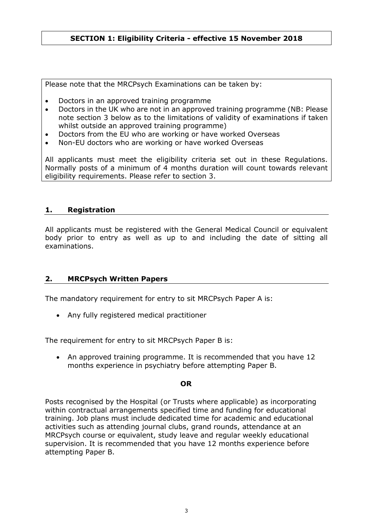# <span id="page-2-0"></span>**SECTION 1: Eligibility Criteria - effective 15 November 2018**

Please note that the MRCPsych Examinations can be taken by:

- Doctors in an approved training programme
- Doctors in the UK who are not in an approved training programme (NB: Please note section 3 below as to the limitations of validity of examinations if taken whilst outside an approved training programme)
- Doctors from the EU who are working or have worked Overseas
- Non-EU doctors who are working or have worked Overseas

All applicants must meet the eligibility criteria set out in these Regulations. Normally posts of a minimum of 4 months duration will count towards relevant eligibility requirements. Please refer to section 3.

#### <span id="page-2-1"></span>**1. Registration**

All applicants must be registered with the General Medical Council or equivalent body prior to entry as well as up to and including the date of sitting all examinations.

# <span id="page-2-2"></span>**2. MRCPsych Written Papers**

The mandatory requirement for entry to sit MRCPsych Paper A is:

• Any fully registered medical practitioner

The requirement for entry to sit MRCPsych Paper B is:

• An approved training programme. It is recommended that you have 12 months experience in psychiatry before attempting Paper B.

#### **OR**

Posts recognised by the Hospital (or Trusts where applicable) as incorporating within contractual arrangements specified time and funding for educational training. Job plans must include dedicated time for academic and educational activities such as attending journal clubs, grand rounds, attendance at an MRCPsych course or equivalent, study leave and regular weekly educational supervision. It is recommended that you have 12 months experience before attempting Paper B.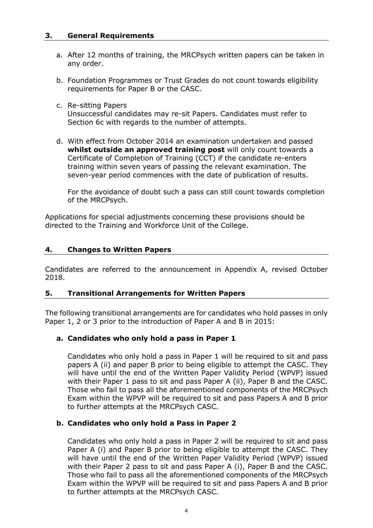#### <span id="page-3-0"></span>**3. General Requirements**

- a. After 12 months of training, the MRCPsych written papers can be taken in any order.
- b. Foundation Programmes or Trust Grades do not count towards eligibility requirements for Paper B or the CASC.
- c. Re-sitting Papers

Unsuccessful candidates may re-sit Papers. Candidates must refer to Section 6c with regards to the number of attempts.

d. With effect from October 2014 an examination undertaken and passed **whilst outside an approved training post** will only count towards a Certificate of Completion of Training (CCT) if the candidate re-enters training within seven years of passing the relevant examination. The seven-year period commences with the date of publication of results.

For the avoidance of doubt such a pass can still count towards completion of the MRCPsych.

Applications for special adjustments concerning these provisions should be directed to the Training and Workforce Unit of the College.

# <span id="page-3-1"></span>**4. Changes to Written Papers**

Candidates are referred to the announcement in Appendix A, revised October 2018.

#### <span id="page-3-2"></span>**5. Transitional Arrangements for Written Papers**

The following transitional arrangements are for candidates who hold passes in only Paper 1, 2 or 3 prior to the introduction of Paper A and B in 2015:

# **a. Candidates who only hold a pass in Paper 1**

Candidates who only hold a pass in Paper 1 will be required to sit and pass papers A (ii) and paper B prior to being eligible to attempt the CASC. They will have until the end of the Written Paper Validity Period (WPVP) issued with their Paper 1 pass to sit and pass Paper A (ii), Paper B and the CASC. Those who fail to pass all the aforementioned components of the MRCPsych Exam within the WPVP will be required to sit and pass Papers A and B prior to further attempts at the MRCPsych CASC.

#### **b. Candidates who only hold a Pass in Paper 2**

Candidates who only hold a pass in Paper 2 will be required to sit and pass Paper A (i) and Paper B prior to being eligible to attempt the CASC. They will have until the end of the Written Paper Validity Period (WPVP) issued with their Paper 2 pass to sit and pass Paper A (i), Paper B and the CASC. Those who fail to pass all the aforementioned components of the MRCPsych Exam within the WPVP will be required to sit and pass Papers A and B prior to further attempts at the MRCPsych CASC.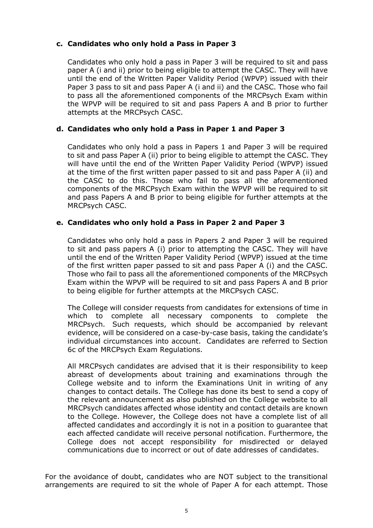# **c. Candidates who only hold a Pass in Paper 3**

Candidates who only hold a pass in Paper 3 will be required to sit and pass paper A (i and ii) prior to being eligible to attempt the CASC. They will have until the end of the Written Paper Validity Period (WPVP) issued with their Paper 3 pass to sit and pass Paper A (i and ii) and the CASC. Those who fail to pass all the aforementioned components of the MRCPsych Exam within the WPVP will be required to sit and pass Papers A and B prior to further attempts at the MRCPsych CASC.

# **d. Candidates who only hold a Pass in Paper 1 and Paper 3**

Candidates who only hold a pass in Papers 1 and Paper 3 will be required to sit and pass Paper A (ii) prior to being eligible to attempt the CASC. They will have until the end of the Written Paper Validity Period (WPVP) issued at the time of the first written paper passed to sit and pass Paper A (ii) and the CASC to do this. Those who fail to pass all the aforementioned components of the MRCPsych Exam within the WPVP will be required to sit and pass Papers A and B prior to being eligible for further attempts at the MRCPsych CASC.

# **e. Candidates who only hold a Pass in Paper 2 and Paper 3**

Candidates who only hold a pass in Papers 2 and Paper 3 will be required to sit and pass papers A (i) prior to attempting the CASC. They will have until the end of the Written Paper Validity Period (WPVP) issued at the time of the first written paper passed to sit and pass Paper A (i) and the CASC. Those who fail to pass all the aforementioned components of the MRCPsych Exam within the WPVP will be required to sit and pass Papers A and B prior to being eligible for further attempts at the MRCPsych CASC.

The College will consider requests from candidates for extensions of time in which to complete all necessary components to complete the MRCPsych. Such requests, which should be accompanied by relevant evidence, will be considered on a case-by-case basis, taking the candidate's individual circumstances into account. Candidates are referred to Section 6c of the MRCPsych Exam Regulations.

All MRCPsych candidates are advised that it is their responsibility to keep abreast of developments about training and examinations through the College website and to inform the Examinations Unit in writing of any changes to contact details. The College has done its best to send a copy of the relevant announcement as also published on the College website to all MRCPsych candidates affected whose identity and contact details are known to the College. However, the College does not have a complete list of all affected candidates and accordingly it is not in a position to guarantee that each affected candidate will receive personal notification. Furthermore, the College does not accept responsibility for misdirected or delayed communications due to incorrect or out of date addresses of candidates.

For the avoidance of doubt, candidates who are NOT subject to the transitional arrangements are required to sit the whole of Paper A for each attempt. Those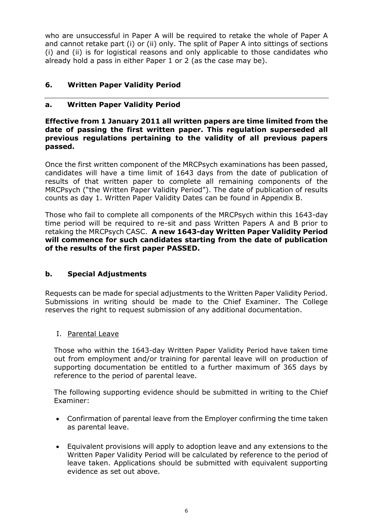who are unsuccessful in Paper A will be required to retake the whole of Paper A and cannot retake part (i) or (ii) only. The split of Paper A into sittings of sections (i) and (ii) is for logistical reasons and only applicable to those candidates who already hold a pass in either Paper 1 or 2 (as the case may be).

# <span id="page-5-0"></span>**6. Written Paper Validity Period**

# **a. Written Paper Validity Period**

#### **Effective from 1 January 2011 all written papers are time limited from the date of passing the first written paper. This regulation superseded all previous regulations pertaining to the validity of all previous papers passed.**

Once the first written component of the MRCPsych examinations has been passed, candidates will have a time limit of 1643 days from the date of publication of results of that written paper to complete all remaining components of the MRCPsych ("the Written Paper Validity Period"). The date of publication of results counts as day 1. Written Paper Validity Dates can be found in Appendix B.

Those who fail to complete all components of the MRCPsych within this 1643-day time period will be required to re-sit and pass Written Papers A and B prior to retaking the MRCPsych CASC. **A new 1643-day Written Paper Validity Period will commence for such candidates starting from the date of publication of the results of the first paper PASSED.**

# **b. Special Adjustments**

Requests can be made for special adjustments to the Written Paper Validity Period. Submissions in writing should be made to the Chief Examiner. The College reserves the right to request submission of any additional documentation.

I. Parental Leave

Those who within the 1643-day Written Paper Validity Period have taken time out from employment and/or training for parental leave will on production of supporting documentation be entitled to a further maximum of 365 days by reference to the period of parental leave.

The following supporting evidence should be submitted in writing to the Chief Examiner:

- Confirmation of parental leave from the Employer confirming the time taken as parental leave.
- Equivalent provisions will apply to adoption leave and any extensions to the Written Paper Validity Period will be calculated by reference to the period of leave taken. Applications should be submitted with equivalent supporting evidence as set out above.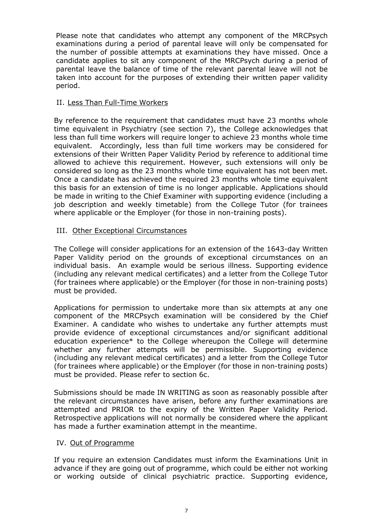Please note that candidates who attempt any component of the MRCPsych examinations during a period of parental leave will only be compensated for the number of possible attempts at examinations they have missed. Once a candidate applies to sit any component of the MRCPsych during a period of parental leave the balance of time of the relevant parental leave will not be taken into account for the purposes of extending their written paper validity period.

#### II. Less Than Full-Time Workers

By reference to the requirement that candidates must have 23 months whole time equivalent in Psychiatry (see section 7), the College acknowledges that less than full time workers will require longer to achieve 23 months whole time equivalent. Accordingly, less than full time workers may be considered for extensions of their Written Paper Validity Period by reference to additional time allowed to achieve this requirement. However, such extensions will only be considered so long as the 23 months whole time equivalent has not been met. Once a candidate has achieved the required 23 months whole time equivalent this basis for an extension of time is no longer applicable. Applications should be made in writing to the Chief Examiner with supporting evidence (including a job description and weekly timetable) from the College Tutor (for trainees where applicable or the Employer (for those in non-training posts).

#### III. Other Exceptional Circumstances

The College will consider applications for an extension of the 1643-day Written Paper Validity period on the grounds of exceptional circumstances on an individual basis. An example would be serious illness. Supporting evidence (including any relevant medical certificates) and a letter from the College Tutor (for trainees where applicable) or the Employer (for those in non-training posts) must be provided.

Applications for permission to undertake more than six attempts at any one component of the MRCPsych examination will be considered by the Chief Examiner. A candidate who wishes to undertake any further attempts must provide evidence of exceptional circumstances and/or significant additional education experience\* to the College whereupon the College will determine whether any further attempts will be permissible. Supporting evidence (including any relevant medical certificates) and a letter from the College Tutor (for trainees where applicable) or the Employer (for those in non-training posts) must be provided. Please refer to section 6c.

Submissions should be made IN WRITING as soon as reasonably possible after the relevant circumstances have arisen, before any further examinations are attempted and PRIOR to the expiry of the Written Paper Validity Period. Retrospective applications will not normally be considered where the applicant has made a further examination attempt in the meantime.

#### IV. Out of Programme

If you require an extension Candidates must inform the Examinations Unit in advance if they are going out of programme, which could be either not working or working outside of clinical psychiatric practice. Supporting evidence,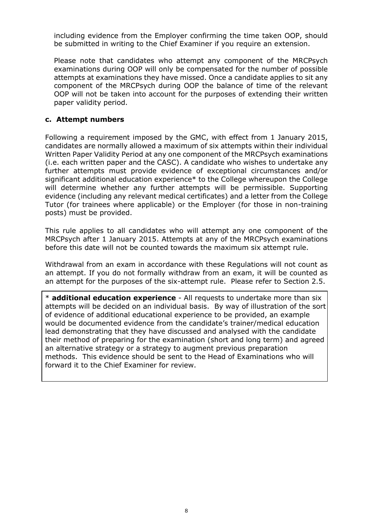including evidence from the Employer confirming the time taken OOP, should be submitted in writing to the Chief Examiner if you require an extension.

Please note that candidates who attempt any component of the MRCPsych examinations during OOP will only be compensated for the number of possible attempts at examinations they have missed. Once a candidate applies to sit any component of the MRCPsych during OOP the balance of time of the relevant OOP will not be taken into account for the purposes of extending their written paper validity period.

# **c. Attempt numbers**

Following a requirement imposed by the GMC, with effect from 1 January 2015, candidates are normally allowed a maximum of six attempts within their individual Written Paper Validity Period at any one component of the MRCPsych examinations (i.e. each written paper and the CASC). A candidate who wishes to undertake any further attempts must provide evidence of exceptional circumstances and/or significant additional education experience\* to the College whereupon the College will determine whether any further attempts will be permissible. Supporting evidence (including any relevant medical certificates) and a letter from the College Tutor (for trainees where applicable) or the Employer (for those in non-training posts) must be provided.

This rule applies to all candidates who will attempt any one component of the MRCPsych after 1 January 2015. Attempts at any of the MRCPsych examinations before this date will not be counted towards the maximum six attempt rule.

Withdrawal from an exam in accordance with these Regulations will not count as an attempt. If you do not formally withdraw from an exam, it will be counted as an attempt for the purposes of the six-attempt rule. Please refer to Section 2.5.

\* **additional education experience** - All requests to undertake more than six attempts will be decided on an individual basis. By way of illustration of the sort of evidence of additional educational experience to be provided, an example would be documented evidence from the candidate's trainer/medical education lead demonstrating that they have discussed and analysed with the candidate their method of preparing for the examination (short and long term) and agreed an alternative strategy or a strategy to augment previous preparation methods. This evidence should be sent to the Head of Examinations who will forward it to the Chief Examiner for review.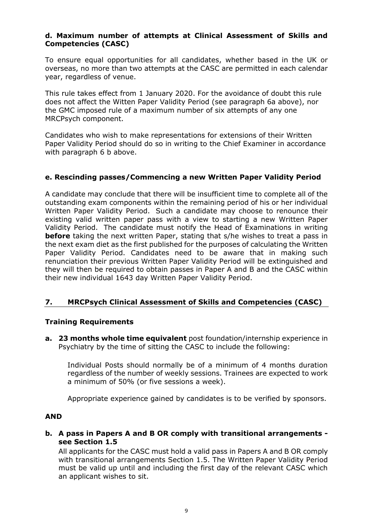# **d. Maximum number of attempts at Clinical Assessment of Skills and Competencies (CASC)**

To ensure equal opportunities for all candidates, whether based in the UK or overseas, no more than two attempts at the CASC are permitted in each calendar year, regardless of venue.

This rule takes effect from 1 January 2020. For the avoidance of doubt this rule does not affect the Witten Paper Validity Period (see paragraph 6a above), nor the GMC imposed rule of a maximum number of six attempts of any one MRCPsych component.

Candidates who wish to make representations for extensions of their Written Paper Validity Period should do so in writing to the Chief Examiner in accordance with paragraph 6 b above.

# **e. Rescinding passes/Commencing a new Written Paper Validity Period**

A candidate may conclude that there will be insufficient time to complete all of the outstanding exam components within the remaining period of his or her individual Written Paper Validity Period. Such a candidate may choose to renounce their existing valid written paper pass with a view to starting a new Written Paper Validity Period. The candidate must notify the Head of Examinations in writing **before** taking the next written Paper, stating that s/he wishes to treat a pass in the next exam diet as the first published for the purposes of calculating the Written Paper Validity Period. Candidates need to be aware that in making such renunciation their previous Written Paper Validity Period will be extinguished and they will then be required to obtain passes in Paper A and B and the CASC within their new individual 1643 day Written Paper Validity Period.

# <span id="page-8-0"></span>**7. MRCPsych Clinical Assessment of Skills and Competencies (CASC)**

# **Training Requirements**

**a. 23 months whole time equivalent** post foundation/internship experience in Psychiatry by the time of sitting the CASC to include the following:

Individual Posts should normally be of a minimum of 4 months duration regardless of the number of weekly sessions. Trainees are expected to work a minimum of 50% (or five sessions a week).

Appropriate experience gained by candidates is to be verified by sponsors.

#### **AND**

**b. A pass in Papers A and B OR comply with transitional arrangements see Section 1.5**

All applicants for the CASC must hold a valid pass in Papers A and B OR comply with transitional arrangements Section 1.5. The Written Paper Validity Period must be valid up until and including the first day of the relevant CASC which an applicant wishes to sit.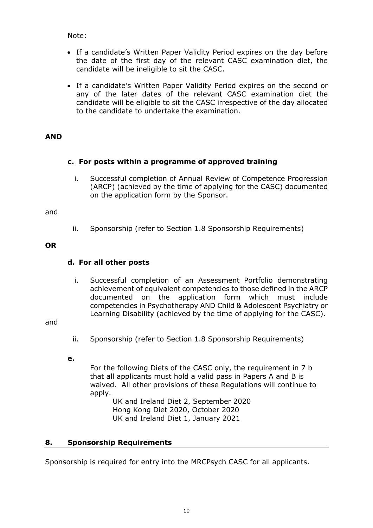Note:

- If a candidate's Written Paper Validity Period expires on the day before the date of the first day of the relevant CASC examination diet, the candidate will be ineligible to sit the CASC.
- If a candidate's Written Paper Validity Period expires on the second or any of the later dates of the relevant CASC examination diet the candidate will be eligible to sit the CASC irrespective of the day allocated to the candidate to undertake the examination.

# **AND**

# **c. For posts within a programme of approved training**

i. Successful completion of Annual Review of Competence Progression (ARCP) (achieved by the time of applying for the CASC) documented on the application form by the Sponsor.

#### and

ii. Sponsorship (refer to Section 1.8 Sponsorship Requirements)

# **OR**

# **d. For all other posts**

i. Successful completion of an Assessment Portfolio demonstrating achievement of equivalent competencies to those defined in the ARCP documented on the application form which must include competencies in Psychotherapy AND Child & Adolescent Psychiatry or Learning Disability (achieved by the time of applying for the CASC).

and

- ii. Sponsorship (refer to Section 1.8 Sponsorship Requirements)
- **e.**

For the following Diets of the CASC only, the requirement in 7 b that all applicants must hold a valid pass in Papers A and B is waived. All other provisions of these Regulations will continue to apply.

UK and Ireland Diet 2, September 2020 Hong Kong Diet 2020, October 2020 UK and Ireland Diet 1, January 2021

# <span id="page-9-0"></span>**8. Sponsorship Requirements**

Sponsorship is required for entry into the MRCPsych CASC for all applicants.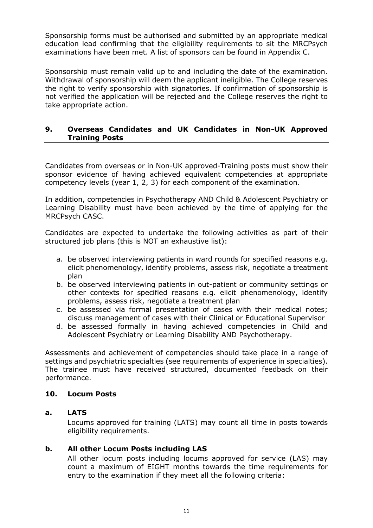Sponsorship forms must be authorised and submitted by an appropriate medical education lead confirming that the eligibility requirements to sit the MRCPsych examinations have been met. A list of sponsors can be found in Appendix C.

Sponsorship must remain valid up to and including the date of the examination. Withdrawal of sponsorship will deem the applicant ineligible. The College reserves the right to verify sponsorship with signatories. If confirmation of sponsorship is not verified the application will be rejected and the College reserves the right to take appropriate action.

# <span id="page-10-0"></span>**9. Overseas Candidates and UK Candidates in Non-UK Approved Training Posts**

Candidates from overseas or in Non-UK approved-Training posts must show their sponsor evidence of having achieved equivalent competencies at appropriate competency levels (year 1, 2, 3) for each component of the examination.

In addition, competencies in Psychotherapy AND Child & Adolescent Psychiatry or Learning Disability must have been achieved by the time of applying for the MRCPsych CASC.

Candidates are expected to undertake the following activities as part of their structured job plans (this is NOT an exhaustive list):

- a. be observed interviewing patients in ward rounds for specified reasons e.g. elicit phenomenology, identify problems, assess risk, negotiate a treatment plan
- b. be observed interviewing patients in out-patient or community settings or other contexts for specified reasons e.g. elicit phenomenology, identify problems, assess risk, negotiate a treatment plan
- c. be assessed via formal presentation of cases with their medical notes; discuss management of cases with their Clinical or Educational Supervisor
- d. be assessed formally in having achieved competencies in Child and Adolescent Psychiatry or Learning Disability AND Psychotherapy.

Assessments and achievement of competencies should take place in a range of settings and psychiatric specialties (see requirements of experience in specialties). The trainee must have received structured, documented feedback on their performance.

# <span id="page-10-1"></span>**10. Locum Posts**

#### **a. LATS**

Locums approved for training (LATS) may count all time in posts towards eligibility requirements.

# **b. All other Locum Posts including LAS**

All other locum posts including locums approved for service (LAS) may count a maximum of EIGHT months towards the time requirements for entry to the examination if they meet all the following criteria: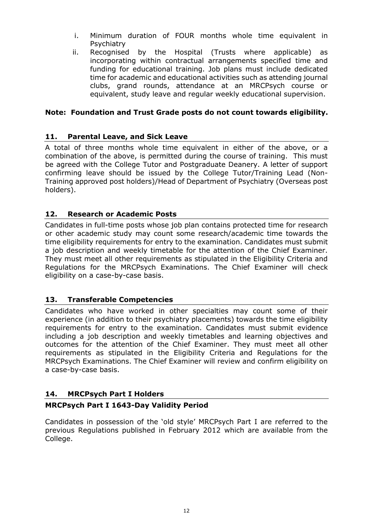- i. Minimum duration of FOUR months whole time equivalent in **Psychiatry**
- ii. Recognised by the Hospital (Trusts where applicable) as incorporating within contractual arrangements specified time and funding for educational training. Job plans must include dedicated time for academic and educational activities such as attending journal clubs, grand rounds, attendance at an MRCPsych course or equivalent, study leave and regular weekly educational supervision.

# **Note: Foundation and Trust Grade posts do not count towards eligibility.**

# <span id="page-11-0"></span>**11. Parental Leave, and Sick Leave**

A total of three months whole time equivalent in either of the above, or a combination of the above, is permitted during the course of training. This must be agreed with the College Tutor and Postgraduate Deanery. A letter of support confirming leave should be issued by the College Tutor/Training Lead (Non-Training approved post holders)/Head of Department of Psychiatry (Overseas post holders).

# <span id="page-11-1"></span>**12. Research or Academic Posts**

Candidates in full-time posts whose job plan contains protected time for research or other academic study may count some research/academic time towards the time eligibility requirements for entry to the examination. Candidates must submit a job description and weekly timetable for the attention of the Chief Examiner. They must meet all other requirements as stipulated in the Eligibility Criteria and Regulations for the MRCPsych Examinations. The Chief Examiner will check eligibility on a case-by-case basis.

# <span id="page-11-2"></span>**13. Transferable Competencies**

Candidates who have worked in other specialties may count some of their experience (in addition to their psychiatry placements) towards the time eligibility requirements for entry to the examination. Candidates must submit evidence including a job description and weekly timetables and learning objectives and outcomes for the attention of the Chief Examiner. They must meet all other requirements as stipulated in the Eligibility Criteria and Regulations for the MRCPsych Examinations. The Chief Examiner will review and confirm eligibility on a case-by-case basis.

# <span id="page-11-3"></span>**14. MRCPsych Part I Holders**

# **MRCPsych Part I 1643-Day Validity Period**

Candidates in possession of the 'old style' MRCPsych Part I are referred to the previous Regulations published in February 2012 which are available from the College.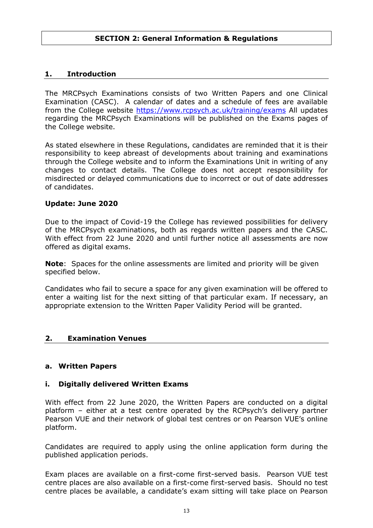# <span id="page-12-1"></span><span id="page-12-0"></span>**1. Introduction**

The MRCPsych Examinations consists of two Written Papers and one Clinical Examination (CASC). A calendar of dates and a schedule of fees are available from the College website<https://www.rcpsych.ac.uk/training/exams> All updates regarding the MRCPsych Examinations will be published on the Exams pages of the College website.

As stated elsewhere in these Regulations, candidates are reminded that it is their responsibility to keep abreast of developments about training and examinations through the College website and to inform the Examinations Unit in writing of any changes to contact details. The College does not accept responsibility for misdirected or delayed communications due to incorrect or out of date addresses of candidates.

#### **Update: June 2020**

Due to the impact of Covid-19 the College has reviewed possibilities for delivery of the MRCPsych examinations, both as regards written papers and the CASC. With effect from 22 June 2020 and until further notice all assessments are now offered as digital exams.

**Note**: Spaces for the online assessments are limited and priority will be given specified below.

Candidates who fail to secure a space for any given examination will be offered to enter a waiting list for the next sitting of that particular exam. If necessary, an appropriate extension to the Written Paper Validity Period will be granted.

#### <span id="page-12-2"></span>**2. Examination Venues**

#### **a. Written Papers**

#### **i. Digitally delivered Written Exams**

With effect from 22 June 2020, the Written Papers are conducted on a digital platform – either at a test centre operated by the RCPsych's delivery partner Pearson VUE and their network of global test centres or on Pearson VUE's online platform.

Candidates are required to apply using the online application form during the published application periods.

Exam places are available on a first-come first-served basis. Pearson VUE test centre places are also available on a first-come first-served basis. Should no test centre places be available, a candidate's exam sitting will take place on Pearson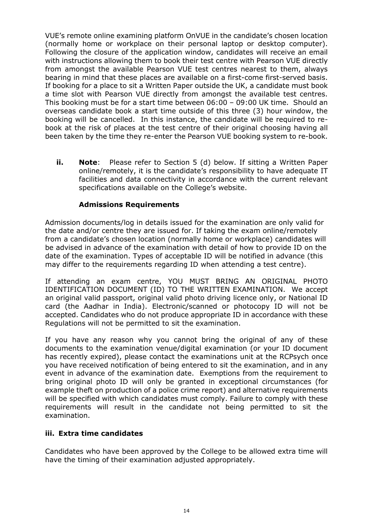VUE's remote online examining platform OnVUE in the candidate's chosen location (normally home or workplace on their personal laptop or desktop computer). Following the closure of the application window, candidates will receive an email with instructions allowing them to book their test centre with Pearson VUE directly from amongst the available Pearson VUE test centres nearest to them, always bearing in mind that these places are available on a first-come first-served basis. If booking for a place to sit a Written Paper outside the UK, a candidate must book a time slot with Pearson VUE directly from amongst the available test centres. This booking must be for a start time between 06:00 – 09:00 UK time. Should an overseas candidate book a start time outside of this three (3) hour window, the booking will be cancelled. In this instance, the candidate will be required to rebook at the risk of places at the test centre of their original choosing having all been taken by the time they re-enter the Pearson VUE booking system to re-book.

**ii. Note**: Please refer to Section 5 (d) below. If sitting a Written Paper online/remotely, it is the candidate's responsibility to have adequate IT facilities and data connectivity in accordance with the current relevant specifications available on the College's website.

# **Admissions Requirements**

Admission documents/log in details issued for the examination are only valid for the date and/or centre they are issued for. If taking the exam online/remotely from a candidate's chosen location (normally home or workplace) candidates will be advised in advance of the examination with detail of how to provide ID on the date of the examination. Types of acceptable ID will be notified in advance (this may differ to the requirements regarding ID when attending a test centre).

If attending an exam centre, YOU MUST BRING AN ORIGINAL PHOTO IDENTIFICATION DOCUMENT (ID) TO THE WRITTEN EXAMINATION. We accept an original valid passport, original valid photo driving licence only, or National ID card (the Aadhar in India). Electronic/scanned or photocopy ID will not be accepted. Candidates who do not produce appropriate ID in accordance with these Regulations will not be permitted to sit the examination.

If you have any reason why you cannot bring the original of any of these documents to the examination venue/digital examination (or your ID document has recently expired), please contact the examinations unit at the RCPsych once you have received notification of being entered to sit the examination, and in any event in advance of the examination date. Exemptions from the requirement to bring original photo ID will only be granted in exceptional circumstances (for example theft on production of a police crime report) and alternative requirements will be specified with which candidates must comply. Failure to comply with these requirements will result in the candidate not being permitted to sit the examination.

# **iii. Extra time candidates**

Candidates who have been approved by the College to be allowed extra time will have the timing of their examination adjusted appropriately.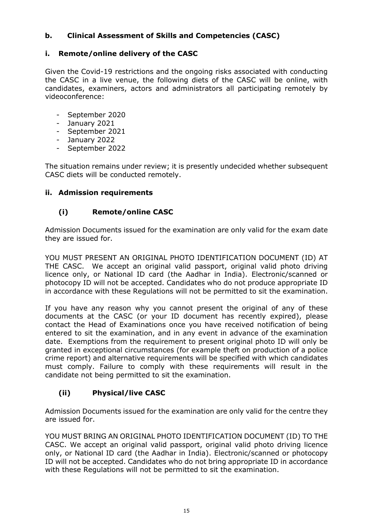# **b. Clinical Assessment of Skills and Competencies (CASC)**

# **i. Remote/online delivery of the CASC**

Given the Covid-19 restrictions and the ongoing risks associated with conducting the CASC in a live venue, the following diets of the CASC will be online, with candidates, examiners, actors and administrators all participating remotely by videoconference:

- September 2020<br>- January 2021
- January 2021
- September 2021
- January 2022
- September 2022

The situation remains under review; it is presently undecided whether subsequent CASC diets will be conducted remotely.

# **ii. Admission requirements**

# **(i) Remote/online CASC**

Admission Documents issued for the examination are only valid for the exam date they are issued for.

YOU MUST PRESENT AN ORIGINAL PHOTO IDENTIFICATION DOCUMENT (ID) AT THE CASC. We accept an original valid passport, original valid photo driving licence only, or National ID card (the Aadhar in India). Electronic/scanned or photocopy ID will not be accepted. Candidates who do not produce appropriate ID in accordance with these Regulations will not be permitted to sit the examination.

If you have any reason why you cannot present the original of any of these documents at the CASC (or your ID document has recently expired), please contact the Head of Examinations once you have received notification of being entered to sit the examination, and in any event in advance of the examination date. Exemptions from the requirement to present original photo ID will only be granted in exceptional circumstances (for example theft on production of a police crime report) and alternative requirements will be specified with which candidates must comply. Failure to comply with these requirements will result in the candidate not being permitted to sit the examination.

# **(ii) Physical/live CASC**

Admission Documents issued for the examination are only valid for the centre they are issued for.

YOU MUST BRING AN ORIGINAL PHOTO IDENTIFICATION DOCUMENT (ID) TO THE CASC. We accept an original valid passport, original valid photo driving licence only, or National ID card (the Aadhar in India). Electronic/scanned or photocopy ID will not be accepted. Candidates who do not bring appropriate ID in accordance with these Regulations will not be permitted to sit the examination.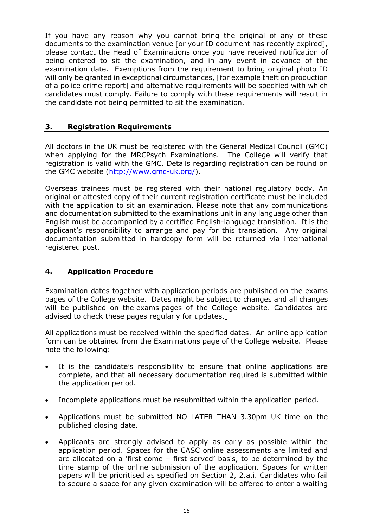If you have any reason why you cannot bring the original of any of these documents to the examination venue [or your ID document has recently expired], please contact the Head of Examinations once you have received notification of being entered to sit the examination, and in any event in advance of the examination date. Exemptions from the requirement to bring original photo ID will only be granted in exceptional circumstances, [for example theft on production of a police crime report] and alternative requirements will be specified with which candidates must comply. Failure to comply with these requirements will result in the candidate not being permitted to sit the examination.

# <span id="page-15-0"></span>**3. Registration Requirements**

All doctors in the UK must be registered with the General Medical Council (GMC) when applying for the MRCPsych Examinations. The College will verify that registration is valid with the GMC. Details regarding registration can be found on the GMC website [\(http://www.gmc-uk.org/\)](http://www.gmc-uk.org/).

Overseas trainees must be registered with their national regulatory body. An original or attested copy of their current registration certificate must be included with the application to sit an examination. Please note that any communications and documentation submitted to the examinations unit in any language other than English must be accompanied by a certified English-language translation. It is the applicant's responsibility to arrange and pay for this translation. Any original documentation submitted in hardcopy form will be returned via international registered post.

# <span id="page-15-1"></span>**4. Application Procedure**

Examination dates together with application periods are published on the exams pages of the College website. Dates might be subject to changes and all changes will be published on the exams pages of the College website. Candidates are advised to check these pages regularly for updates.

All applications must be received within the specified dates. An online application form can be obtained from the Examinations page of the College website. Please note the following:

- It is the candidate's responsibility to ensure that online applications are complete, and that all necessary documentation required is submitted within the application period.
- Incomplete applications must be resubmitted within the application period.
- Applications must be submitted NO LATER THAN 3.30pm UK time on the published closing date.
- Applicants are strongly advised to apply as early as possible within the application period. Spaces for the CASC online assessments are limited and are allocated on a 'first come – first served' basis, to be determined by the time stamp of the online submission of the application. Spaces for written papers will be prioritised as specified on Section 2, 2.a.i. Candidates who fail to secure a space for any given examination will be offered to enter a waiting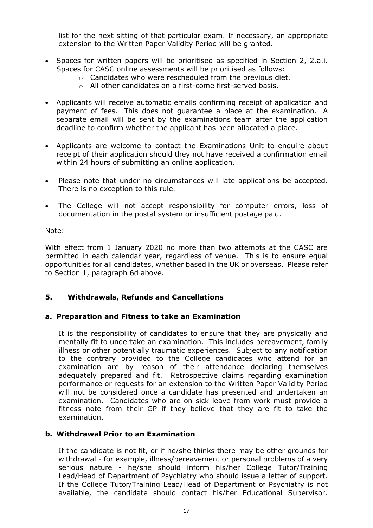list for the next sitting of that particular exam. If necessary, an appropriate extension to the Written Paper Validity Period will be granted.

- Spaces for written papers will be prioritised as specified in Section 2, 2.a.i. Spaces for CASC online assessments will be prioritised as follows:
	- o Candidates who were rescheduled from the previous diet.
	- o All other candidates on a first-come first-served basis.
- Applicants will receive automatic emails confirming receipt of application and payment of fees. This does not guarantee a place at the examination. A separate email will be sent by the examinations team after the application deadline to confirm whether the applicant has been allocated a place.
- Applicants are welcome to contact the Examinations Unit to enquire about receipt of their application should they not have received a confirmation email within 24 hours of submitting an online application.
- Please note that under no circumstances will late applications be accepted. There is no exception to this rule.
- The College will not accept responsibility for computer errors, loss of documentation in the postal system or insufficient postage paid.

#### Note:

With effect from 1 January 2020 no more than two attempts at the CASC are permitted in each calendar year, regardless of venue. This is to ensure equal opportunities for all candidates, whether based in the UK or overseas. Please refer to Section 1, paragraph 6d above.

# <span id="page-16-0"></span>**5. Withdrawals, Refunds and Cancellations**

# **a. Preparation and Fitness to take an Examination**

It is the responsibility of candidates to ensure that they are physically and mentally fit to undertake an examination. This includes bereavement, family illness or other potentially traumatic experiences. Subject to any notification to the contrary provided to the College candidates who attend for an examination are by reason of their attendance declaring themselves adequately prepared and fit. Retrospective claims regarding examination performance or requests for an extension to the Written Paper Validity Period will not be considered once a candidate has presented and undertaken an examination. Candidates who are on sick leave from work must provide a fitness note from their GP if they believe that they are fit to take the examination.

# **b. Withdrawal Prior to an Examination**

If the candidate is not fit, or if he/she thinks there may be other grounds for withdrawal - for example, illness/bereavement or personal problems of a very serious nature - he/she should inform his/her College Tutor/Training Lead/Head of Department of Psychiatry who should issue a letter of support. If the College Tutor/Training Lead/Head of Department of Psychiatry is not available, the candidate should contact his/her Educational Supervisor.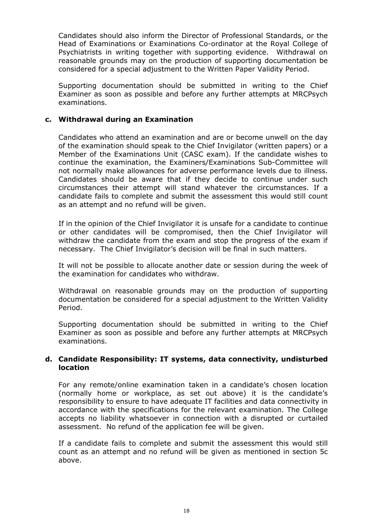Candidates should also inform the Director of Professional Standards, or the Head of Examinations or Examinations Co-ordinator at the Royal College of Psychiatrists in writing together with supporting evidence. Withdrawal on reasonable grounds may on the production of supporting documentation be considered for a special adjustment to the Written Paper Validity Period.

Supporting documentation should be submitted in writing to the Chief Examiner as soon as possible and before any further attempts at MRCPsych examinations.

#### **c. Withdrawal during an Examination**

Candidates who attend an examination and are or become unwell on the day of the examination should speak to the Chief Invigilator (written papers) or a Member of the Examinations Unit (CASC exam). If the candidate wishes to continue the examination, the Examiners/Examinations Sub-Committee will not normally make allowances for adverse performance levels due to illness. Candidates should be aware that if they decide to continue under such circumstances their attempt will stand whatever the circumstances. If a candidate fails to complete and submit the assessment this would still count as an attempt and no refund will be given.

If in the opinion of the Chief Invigilator it is unsafe for a candidate to continue or other candidates will be compromised, then the Chief Invigilator will withdraw the candidate from the exam and stop the progress of the exam if necessary. The Chief Invigilator's decision will be final in such matters.

It will not be possible to allocate another date or session during the week of the examination for candidates who withdraw.

Withdrawal on reasonable grounds may on the production of supporting documentation be considered for a special adjustment to the Written Validity Period.

Supporting documentation should be submitted in writing to the Chief Examiner as soon as possible and before any further attempts at MRCPsych examinations.

#### **d. Candidate Responsibility: IT systems, data connectivity, undisturbed location**

For any remote/online examination taken in a candidate's chosen location (normally home or workplace, as set out above) it is the candidate's responsibility to ensure to have adequate IT facilities and data connectivity in accordance with the specifications for the relevant examination. The College accepts no liability whatsoever in connection with a disrupted or curtailed assessment. No refund of the application fee will be given.

If a candidate fails to complete and submit the assessment this would still count as an attempt and no refund will be given as mentioned in section 5c above.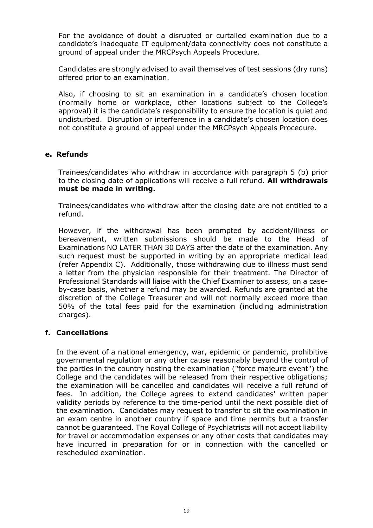For the avoidance of doubt a disrupted or curtailed examination due to a candidate's inadequate IT equipment/data connectivity does not constitute a ground of appeal under the MRCPsych Appeals Procedure.

Candidates are strongly advised to avail themselves of test sessions (dry runs) offered prior to an examination.

Also, if choosing to sit an examination in a candidate's chosen location (normally home or workplace, other locations subject to the College's approval) it is the candidate's responsibility to ensure the location is quiet and undisturbed. Disruption or interference in a candidate's chosen location does not constitute a ground of appeal under the MRCPsych Appeals Procedure.

# **e. Refunds**

Trainees/candidates who withdraw in accordance with paragraph 5 (b) prior to the closing date of applications will receive a full refund. **All withdrawals must be made in writing.**

Trainees/candidates who withdraw after the closing date are not entitled to a refund.

However, if the withdrawal has been prompted by accident/illness or bereavement, written submissions should be made to the Head of Examinations NO LATER THAN 30 DAYS after the date of the examination. Any such request must be supported in writing by an appropriate medical lead (refer Appendix C). Additionally, those withdrawing due to illness must send a letter from the physician responsible for their treatment. The Director of Professional Standards will liaise with the Chief Examiner to assess, on a caseby-case basis, whether a refund may be awarded. Refunds are granted at the discretion of the College Treasurer and will not normally exceed more than 50% of the total fees paid for the examination (including administration charges).

# **f. Cancellations**

In the event of a national emergency, war, epidemic or pandemic, prohibitive governmental regulation or any other cause reasonably beyond the control of the parties in the country hosting the examination ("force majeure event") the College and the candidates will be released from their respective obligations; the examination will be cancelled and candidates will receive a full refund of fees. In addition, the College agrees to extend candidates' written paper validity periods by reference to the time-period until the next possible diet of the examination. Candidates may request to transfer to sit the examination in an exam centre in another country if space and time permits but a transfer cannot be guaranteed. The Royal College of Psychiatrists will not accept liability for travel or accommodation expenses or any other costs that candidates may have incurred in preparation for or in connection with the cancelled or rescheduled examination.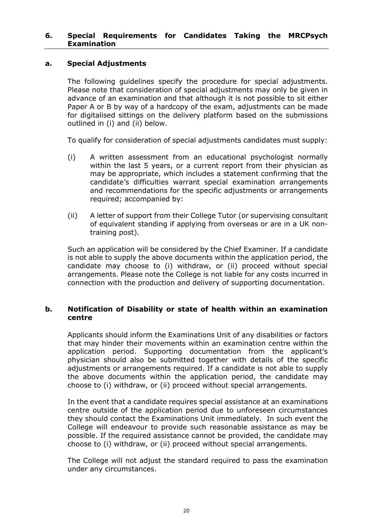#### <span id="page-19-0"></span>**6. Special Requirements for Candidates Taking the MRCPsych Examination**

#### **a. Special Adjustments**

The following guidelines specify the procedure for special adjustments. Please note that consideration of special adjustments may only be given in advance of an examination and that although it is not possible to sit either Paper A or B by way of a hardcopy of the exam, adjustments can be made for digitalised sittings on the delivery platform based on the submissions outlined in (i) and (ii) below.

To qualify for consideration of special adjustments candidates must supply:

- (i) A written assessment from an educational psychologist normally within the last 5 years, or a current report from their physician as may be appropriate, which includes a statement confirming that the candidate's difficulties warrant special examination arrangements and recommendations for the specific adjustments or arrangements required; accompanied by:
- (ii) A letter of support from their College Tutor (or supervising consultant of equivalent standing if applying from overseas or are in a UK nontraining post).

Such an application will be considered by the Chief Examiner. If a candidate is not able to supply the above documents within the application period, the candidate may choose to (i) withdraw, or (ii) proceed without special arrangements. Please note the College is not liable for any costs incurred in connection with the production and delivery of supporting documentation.

#### **b. Notification of Disability or state of health within an examination centre**

Applicants should inform the Examinations Unit of any disabilities or factors that may hinder their movements within an examination centre within the application period. Supporting documentation from the applicant's physician should also be submitted together with details of the specific adjustments or arrangements required. If a candidate is not able to supply the above documents within the application period, the candidate may choose to (i) withdraw, or (ii) proceed without special arrangements.

In the event that a candidate requires special assistance at an examinations centre outside of the application period due to unforeseen circumstances they should contact the Examinations Unit immediately. In such event the College will endeavour to provide such reasonable assistance as may be possible. If the required assistance cannot be provided, the candidate may choose to (i) withdraw, or (ii) proceed without special arrangements.

The College will not adjust the standard required to pass the examination under any circumstances.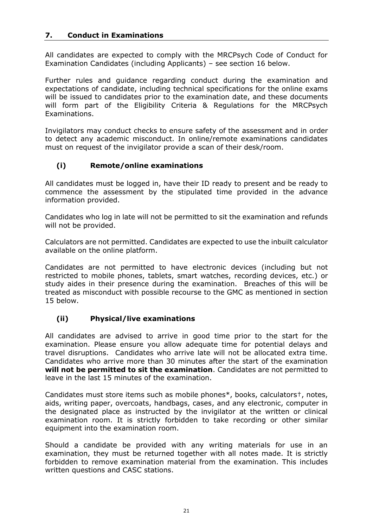# <span id="page-20-0"></span>**7. Conduct in Examinations**

All candidates are expected to comply with the MRCPsych Code of Conduct for Examination Candidates (including Applicants) – see section 16 below.

Further rules and guidance regarding conduct during the examination and expectations of candidate, including technical specifications for the online exams will be issued to candidates prior to the examination date, and these documents will form part of the Eligibility Criteria & Regulations for the MRCPsych Examinations.

Invigilators may conduct checks to ensure safety of the assessment and in order to detect any academic misconduct. In online/remote examinations candidates must on request of the invigilator provide a scan of their desk/room.

# **(i) Remote/online examinations**

All candidates must be logged in, have their ID ready to present and be ready to commence the assessment by the stipulated time provided in the advance information provided.

Candidates who log in late will not be permitted to sit the examination and refunds will not be provided.

Calculators are not permitted. Candidates are expected to use the inbuilt calculator available on the online platform.

Candidates are not permitted to have electronic devices (including but not restricted to mobile phones, tablets, smart watches, recording devices, etc.) or study aides in their presence during the examination. Breaches of this will be treated as misconduct with possible recourse to the GMC as mentioned in section 15 below.

# **(ii) Physical/live examinations**

All candidates are advised to arrive in good time prior to the start for the examination. Please ensure you allow adequate time for potential delays and travel disruptions. Candidates who arrive late will not be allocated extra time. Candidates who arrive more than 30 minutes after the start of the examination **will not be permitted to sit the examination**. Candidates are not permitted to leave in the last 15 minutes of the examination.

Candidates must store items such as mobile phones\*, books, calculators†, notes, aids, writing paper, overcoats, handbags, cases, and any electronic, computer in the designated place as instructed by the invigilator at the written or clinical examination room. It is strictly forbidden to take recording or other similar equipment into the examination room.

Should a candidate be provided with any writing materials for use in an examination, they must be returned together with all notes made. It is strictly forbidden to remove examination material from the examination. This includes written questions and CASC stations.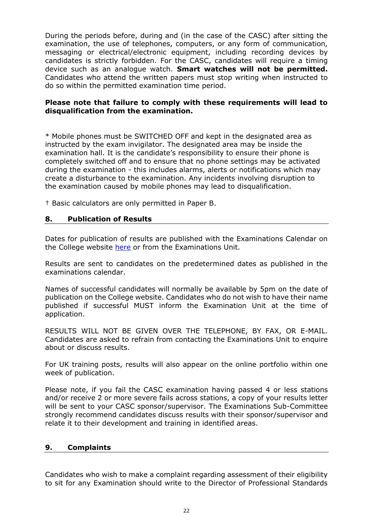During the periods before, during and (in the case of the CASC) after sitting the examination, the use of telephones, computers, or any form of communication, messaging or electrical/electronic equipment, including recording devices by candidates is strictly forbidden. For the CASC, candidates will require a timing device such as an analogue watch. **Smart watches will not be permitted.** Candidates who attend the written papers must stop writing when instructed to do so within the permitted examination time period.

#### **Please note that failure to comply with these requirements will lead to disqualification from the examination.**

\* Mobile phones must be SWITCHED OFF and kept in the designated area as instructed by the exam invigilator. The designated area may be inside the examination hall. It is the candidate's responsibility to ensure their phone is completely switched off and to ensure that no phone settings may be activated during the examination - this includes alarms, alerts or notifications which may create a disturbance to the examination. Any incidents involving disruption to the examination caused by mobile phones may lead to disqualification.

† Basic calculators are only permitted in Paper B.

# <span id="page-21-0"></span>**8. Publication of Results**

Dates for publication of results are published with the Examinations Calendar on the College website [here](https://www.rcpsych.ac.uk/training/exams/getting-your-result) or from the Examinations Unit.

Results are sent to candidates on the predetermined dates as published in the examinations calendar.

Names of successful candidates will normally be available by 5pm on the date of publication on the College website. Candidates who do not wish to have their name published if successful MUST inform the Examination Unit at the time of application.

RESULTS WILL NOT BE GIVEN OVER THE TELEPHONE, BY FAX, OR E-MAIL. Candidates are asked to refrain from contacting the Examinations Unit to enquire about or discuss results.

For UK training posts, results will also appear on the online portfolio within one week of publication.

Please note, if you fail the CASC examination having passed 4 or less stations and/or receive 2 or more severe fails across stations, a copy of your results letter will be sent to your CASC sponsor/supervisor. The Examinations Sub-Committee strongly recommend candidates discuss results with their sponsor/supervisor and relate it to their development and training in identified areas.

#### <span id="page-21-1"></span>**9. Complaints**

Candidates who wish to make a complaint regarding assessment of their eligibility to sit for any Examination should write to the Director of Professional Standards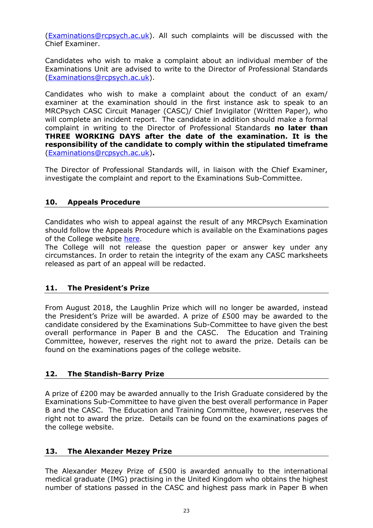[\(Examinations@rcpsych.ac.uk\)](mailto:Examinations@rcpsych.ac.uk). All such complaints will be discussed with the Chief Examiner.

Candidates who wish to make a complaint about an individual member of the Examinations Unit are advised to write to the Director of Professional Standards [\(Examinations@rcpsych.ac.uk\)](mailto:Examinations@rcpsych.ac.uk).

Candidates who wish to make a complaint about the conduct of an exam/ examiner at the examination should in the first instance ask to speak to an MRCPsych CASC Circuit Manager (CASC)/ Chief Invigilator (Written Paper), who will complete an incident report. The candidate in addition should make a formal complaint in writing to the Director of Professional Standards **no later than THREE WORKING DAYS after the date of the examination. It is the responsibility of the candidate to comply within the stipulated timeframe** [\(Examinations@rcpsych.ac.uk\)](mailto:Examinations@rcpsych.ac.uk)**.**

The Director of Professional Standards will, in liaison with the Chief Examiner, investigate the complaint and report to the Examinations Sub-Committee.

# <span id="page-22-0"></span>**10. Appeals Procedure**

Candidates who wish to appeal against the result of any MRCPsych Examination should follow the Appeals Procedure which is available on the Examinations pages of the College website [here](https://www.rcpsych.ac.uk/training/exams/getting-your-result).

The College will not release the question paper or answer key under any circumstances. In order to retain the integrity of the exam any CASC marksheets released as part of an appeal will be redacted.

# <span id="page-22-1"></span>**11. The President's Prize**

From August 2018, the Laughlin Prize which will no longer be awarded, instead the President's Prize will be awarded. A prize of £500 may be awarded to the candidate considered by the Examinations Sub-Committee to have given the best overall performance in Paper B and the CASC. The Education and Training Committee, however, reserves the right not to award the prize. Details can be found on the examinations pages of the college website.

# <span id="page-22-2"></span>**12. The Standish-Barry Prize**

A prize of £200 may be awarded annually to the Irish Graduate considered by the Examinations Sub-Committee to have given the best overall performance in Paper B and the CASC. The Education and Training Committee, however, reserves the right not to award the prize. Details can be found on the examinations pages of the college website.

# <span id="page-22-3"></span>**13. The Alexander Mezey Prize**

The Alexander Mezey Prize of £500 is awarded annually to the international medical graduate (IMG) practising in the United Kingdom who obtains the highest number of stations passed in the CASC and highest pass mark in Paper B when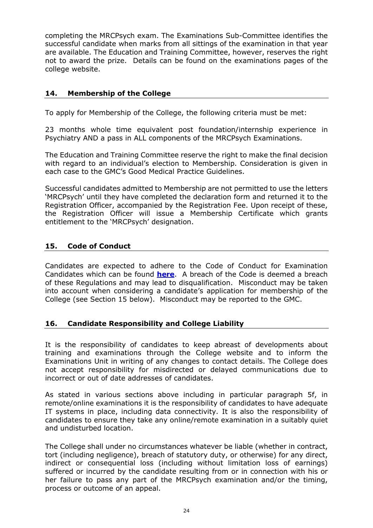completing the MRCPsych exam. The Examinations Sub-Committee identifies the successful candidate when marks from all sittings of the examination in that year are available. The Education and Training Committee, however, reserves the right not to award the prize. Details can be found on the examinations pages of the college website.

# <span id="page-23-0"></span>**14. Membership of the College**

To apply for Membership of the College, the following criteria must be met:

23 months whole time equivalent post foundation/internship experience in Psychiatry AND a pass in ALL components of the MRCPsych Examinations.

The Education and Training Committee reserve the right to make the final decision with regard to an individual's election to Membership. Consideration is given in each case to the GMC's Good Medical Practice Guidelines.

Successful candidates admitted to Membership are not permitted to use the letters 'MRCPsych' until they have completed the declaration form and returned it to the Registration Officer, accompanied by the Registration Fee. Upon receipt of these, the Registration Officer will issue a Membership Certificate which grants entitlement to the 'MRCPsych' designation.

# <span id="page-23-1"></span>**15. Code of Conduct**

Candidates are expected to adhere to the Code of Conduct for Examination Candidates which can be found **[here](https://www.rcpsych.ac.uk/training/exams/can-i-take-an-exam)**. A breach of the Code is deemed a breach of these Regulations and may lead to disqualification. Misconduct may be taken into account when considering a candidate's application for membership of the College (see Section 15 below). Misconduct may be reported to the GMC.

# <span id="page-23-2"></span>**16. Candidate Responsibility and College Liability**

It is the responsibility of candidates to keep abreast of developments about training and examinations through the College website and to inform the Examinations Unit in writing of any changes to contact details. The College does not accept responsibility for misdirected or delayed communications due to incorrect or out of date addresses of candidates.

As stated in various sections above including in particular paragraph 5f, in remote/online examinations it is the responsibility of candidates to have adequate IT systems in place, including data connectivity. It is also the responsibility of candidates to ensure they take any online/remote examination in a suitably quiet and undisturbed location.

The College shall under no circumstances whatever be liable (whether in contract, tort (including negligence), breach of statutory duty, or otherwise) for any direct, indirect or consequential loss (including without limitation loss of earnings) suffered or incurred by the candidate resulting from or in connection with his or her failure to pass any part of the MRCPsych examination and/or the timing, process or outcome of an appeal.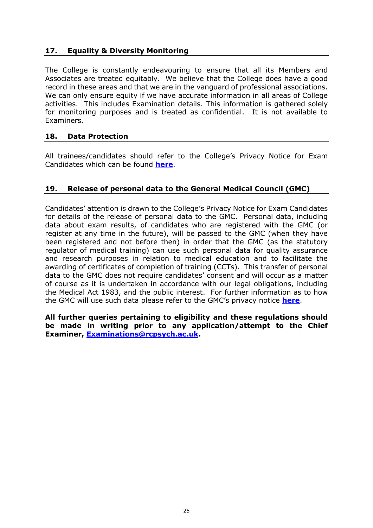# <span id="page-24-0"></span>**17. Equality & Diversity Monitoring**

The College is constantly endeavouring to ensure that all its Members and Associates are treated equitably. We believe that the College does have a good record in these areas and that we are in the vanguard of professional associations. We can only ensure equity if we have accurate information in all areas of College activities. This includes Examination details. This information is gathered solely for monitoring purposes and is treated as confidential. It is not available to Examiners.

# <span id="page-24-1"></span>**18. Data Protection**

All trainees/candidates should refer to the College's Privacy Notice for Exam Candidates which can be found **[here](https://www.rcpsych.ac.uk/training/exams/applying-for-your-exam)**.

# <span id="page-24-2"></span>**19. Release of personal data to the General Medical Council (GMC)**

Candidates' attention is drawn to the College's Privacy Notice for Exam Candidates for details of the release of personal data to the GMC. Personal data, including data about exam results, of candidates who are registered with the GMC (or register at any time in the future), will be passed to the GMC (when they have been registered and not before then) in order that the GMC (as the statutory regulator of medical training) can use such personal data for quality assurance and research purposes in relation to medical education and to facilitate the awarding of certificates of completion of training (CCTs). This transfer of personal data to the GMC does not require candidates' consent and will occur as a matter of course as it is undertaken in accordance with our legal obligations, including the Medical Act 1983, and the public interest. For further information as to how the GMC will use such data please refer to the GMC's privacy notice **[here](https://www.gmc-uk.org/privacy-and-cookies)**.

**All further queries pertaining to eligibility and these regulations should be made in writing prior to any application/attempt to the Chief Examiner, [Examinations@rcpsych.ac.uk.](mailto:Examinations@rcpsych.ac.uk)**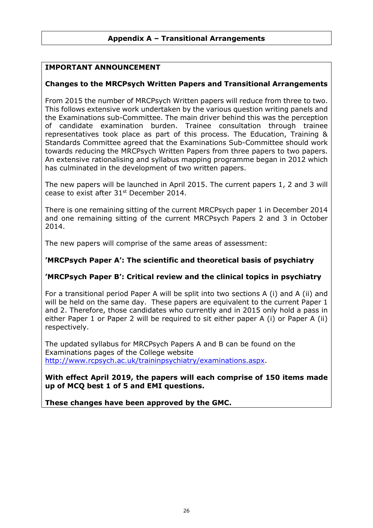# <span id="page-25-0"></span>**IMPORTANT ANNOUNCEMENT**

# **Changes to the MRCPsych Written Papers and Transitional Arrangements**

From 2015 the number of MRCPsych Written papers will reduce from three to two. This follows extensive work undertaken by the various question writing panels and the Examinations sub-Committee. The main driver behind this was the perception of candidate examination burden. Trainee consultation through trainee representatives took place as part of this process. The Education, Training & Standards Committee agreed that the Examinations Sub-Committee should work towards reducing the MRCPsych Written Papers from three papers to two papers. An extensive rationalising and syllabus mapping programme began in 2012 which has culminated in the development of two written papers.

The new papers will be launched in April 2015. The current papers 1, 2 and 3 will cease to exist after 31<sup>st</sup> December 2014.

There is one remaining sitting of the current MRCPsych paper 1 in December 2014 and one remaining sitting of the current MRCPsych Papers 2 and 3 in October 2014.

The new papers will comprise of the same areas of assessment:

#### **'MRCPsych Paper A': The scientific and theoretical basis of psychiatry**

# **'MRCPsych Paper B': Critical review and the clinical topics in psychiatry**

For a transitional period Paper A will be split into two sections A (i) and A (ii) and will be held on the same day. These papers are equivalent to the current Paper 1 and 2. Therefore, those candidates who currently and in 2015 only hold a pass in either Paper 1 or Paper 2 will be required to sit either paper A (i) or Paper A (ii) respectively.

The updated syllabus for MRCPsych Papers A and B can be found on the Examinations pages of the College website [http://www.rcpsych.ac.uk/traininpsychiatry/examinations.aspx.](http://www.rcpsych.ac.uk/traininpsychiatry/examinations.aspx)

**With effect April 2019, the papers will each comprise of 150 items made up of MCQ best 1 of 5 and EMI questions.**

**These changes have been approved by the GMC.**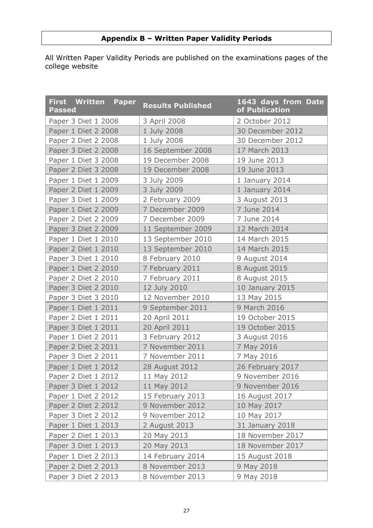# **Appendix B – Written Paper Validity Periods**

<span id="page-26-0"></span>All Written Paper Validity Periods are published on the examinations pages of the college website

| <b>First Written Paper</b><br><b>Passed</b> | <b>Results Published</b> | 1643 days from Date<br>of Publication |
|---------------------------------------------|--------------------------|---------------------------------------|
| Paper 3 Diet 1 2008                         | 3 April 2008             | 2 October 2012                        |
| Paper 1 Diet 2 2008                         | 1 July 2008              | 30 December 2012                      |
| Paper 2 Diet 2 2008                         | 1 July 2008              | 30 December 2012                      |
| Paper 3 Diet 2 2008                         | 16 September 2008        | 17 March 2013                         |
| Paper 1 Diet 3 2008                         | 19 December 2008         | 19 June 2013                          |
| Paper 2 Diet 3 2008                         | 19 December 2008         | 19 June 2013                          |
| Paper 1 Diet 1 2009                         | 3 July 2009              | 1 January 2014                        |
| Paper 2 Diet 1 2009                         | 3 July 2009              | 1 January 2014                        |
| Paper 3 Diet 1 2009                         | 2 February 2009          | 3 August 2013                         |
| Paper 1 Diet 2 2009                         | 7 December 2009          | 7 June 2014                           |
| Paper 2 Diet 2 2009                         | 7 December 2009          | 7 June 2014                           |
| Paper 3 Diet 2 2009                         | 11 September 2009        | 12 March 2014                         |
| Paper 1 Diet 1 2010                         | 13 September 2010        | 14 March 2015                         |
| Paper 2 Diet 1 2010                         | 13 September 2010        | 14 March 2015                         |
| Paper 3 Diet 1 2010                         | 8 February 2010          | 9 August 2014                         |
| Paper 1 Diet 2 2010                         | 7 February 2011          | 8 August 2015                         |
| Paper 2 Diet 2 2010                         | 7 February 2011          | 8 August 2015                         |
| Paper 3 Diet 2 2010                         | 12 July 2010             | 10 January 2015                       |
| Paper 3 Diet 3 2010                         | 12 November 2010         | 13 May 2015                           |
| Paper 1 Diet 1 2011                         | 9 September 2011         | 9 March 2016                          |
| Paper 2 Diet 1 2011                         | 20 April 2011            | 19 October 2015                       |
| Paper 3 Diet 1 2011                         | 20 April 2011            | 19 October 2015                       |
| Paper 1 Diet 2 2011                         | 3 February 2012          | 3 August 2016                         |
| Paper 2 Diet 2 2011                         | 7 November 2011          | 7 May 2016                            |
| Paper 3 Diet 2 2011                         | 7 November 2011          | 7 May 2016                            |
| Paper 1 Diet 1 2012                         | 28 August 2012           | 26 February 2017                      |
| Paper 2 Diet 1 2012                         | 11 May 2012              | 9 November 2016                       |
| Paper 3 Diet 1 2012                         | 11 May 2012              | 9 November 2016                       |
| Paper 1 Diet 2 2012                         | 15 February 2013         | 16 August 2017                        |
| Paper 2 Diet 2 2012                         | 9 November 2012          | 10 May 2017                           |
| Paper 3 Diet 2 2012                         | 9 November 2012          | 10 May 2017                           |
| Paper 1 Diet 1 2013                         | 2 August 2013            | 31 January 2018                       |
| Paper 2 Diet 1 2013                         | 20 May 2013              | 18 November 2017                      |
| Paper 3 Diet 1 2013                         | 20 May 2013              | 18 November 2017                      |
| Paper 1 Diet 2 2013                         | 14 February 2014         | 15 August 2018                        |
| Paper 2 Diet 2 2013                         | 8 November 2013          | 9 May 2018                            |
| Paper 3 Diet 2 2013                         | 8 November 2013          | 9 May 2018                            |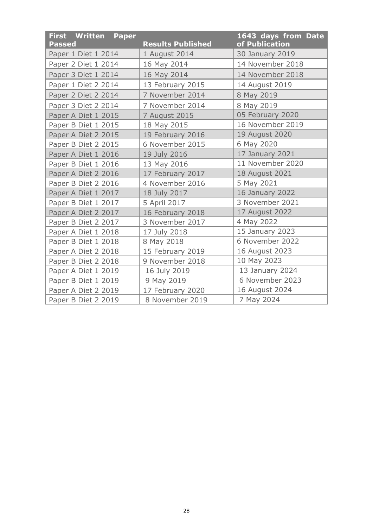| <b>First Written Paper</b><br><b>Passed</b> | <b>Results Published</b> | 1643 days from Date<br>of Publication |
|---------------------------------------------|--------------------------|---------------------------------------|
| Paper 1 Diet 1 2014                         | 1 August 2014            | 30 January 2019                       |
| Paper 2 Diet 1 2014                         | 16 May 2014              | 14 November 2018                      |
|                                             |                          |                                       |
| Paper 3 Diet 1 2014                         | 16 May 2014              | 14 November 2018                      |
| Paper 1 Diet 2 2014                         | 13 February 2015         | 14 August 2019                        |
| Paper 2 Diet 2 2014                         | 7 November 2014          | 8 May 2019                            |
| Paper 3 Diet 2 2014                         | 7 November 2014          | 8 May 2019                            |
| Paper A Diet 1 2015                         | 7 August 2015            | 05 February 2020                      |
| Paper B Diet 1 2015                         | 18 May 2015              | 16 November 2019                      |
| Paper A Diet 2 2015                         | 19 February 2016         | 19 August 2020                        |
| Paper B Diet 2 2015                         | 6 November 2015          | 6 May 2020                            |
| Paper A Diet 1 2016                         | 19 July 2016             | 17 January 2021                       |
| Paper B Diet 1 2016                         | 13 May 2016              | 11 November 2020                      |
| Paper A Diet 2 2016                         | 17 February 2017         | 18 August 2021                        |
| Paper B Diet 2 2016                         | 4 November 2016          | 5 May 2021                            |
| Paper A Diet 1 2017                         | 18 July 2017             | 16 January 2022                       |
| Paper B Diet 1 2017                         | 5 April 2017             | 3 November 2021                       |
| Paper A Diet 2 2017                         | 16 February 2018         | 17 August 2022                        |
| Paper B Diet 2 2017                         | 3 November 2017          | 4 May 2022                            |
| Paper A Diet 1 2018                         | 17 July 2018             | 15 January 2023                       |
| Paper B Diet 1 2018                         | 8 May 2018               | 6 November 2022                       |
| Paper A Diet 2 2018                         | 15 February 2019         | 16 August 2023                        |
| Paper B Diet 2 2018                         | 9 November 2018          | 10 May 2023                           |
| Paper A Diet 1 2019                         | 16 July 2019             | 13 January 2024                       |
| Paper B Diet 1 2019                         | 9 May 2019               | 6 November 2023                       |
| Paper A Diet 2 2019                         | 17 February 2020         | 16 August 2024                        |
| Paper B Diet 2 2019                         | 8 November 2019          | 7 May 2024                            |